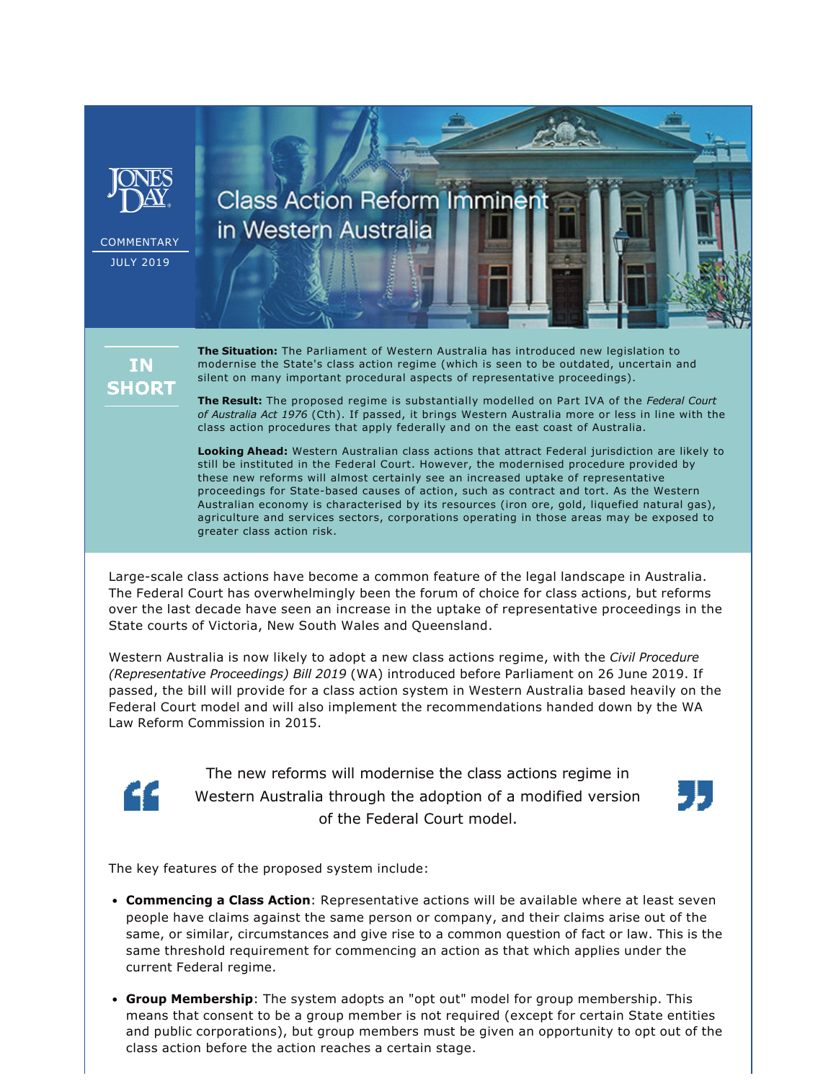

**IN SHORT**  **The Situation:** The Parliament of Western Australia has introduced new legislation to modernise the State's class action regime (which is seen to be outdated, uncertain and silent on many important procedural aspects of representative proceedings).

**The Result:** The proposed regime is substantially modelled on Part IVA of the *Federal Court of Australia Act 1976* (Cth). If passed, it brings Western Australia more or less in line with the class action procedures that apply federally and on the east coast of Australia.

**Looking Ahead:** Western Australian class actions that attract Federal jurisdiction are likely to still be instituted in the Federal Court. However, the modernised procedure provided by these new reforms will almost certainly see an increased uptake of representative proceedings for State-based causes of action, such as contract and tort. As the Western Australian economy is characterised by its resources (iron ore, gold, liquefied natural gas), agriculture and services sectors, corporations operating in those areas may be exposed to greater class action risk.

Large-scale class actions have become a common feature of the legal landscape in Australia. The Federal Court has overwhelmingly been the forum of choice for class actions, but reforms over the last decade have seen an increase in the uptake of representative proceedings in the State courts of Victoria, New South Wales and Queensland.

Western Australia is now likely to adopt a new class actions regime, with the *Civil Procedure (Representative Proceedings) Bill 2019* (WA) introduced before Parliament on 26 June 2019. If passed, the bill will provide for a class action system in Western Australia based heavily on the Federal Court model and will also implement the recommendations handed down by the WA Law Reform Commission in 2015.



The new reforms will modernise the class actions regime in Western Australia through the adoption of a modified version of the Federal Court model.



The key features of the proposed system include:

- **Commencing a Class Action**: Representative actions will be available where at least seven people have claims against the same person or company, and their claims arise out of the same, or similar, circumstances and give rise to a common question of fact or law. This is the same threshold requirement for commencing an action as that which applies under the current Federal regime.
- **Group Membership**: The system adopts an "opt out" model for group membership. This means that consent to be a group member is not required (except for certain State entities and public corporations), but group members must be given an opportunity to opt out of the class action before the action reaches a certain stage.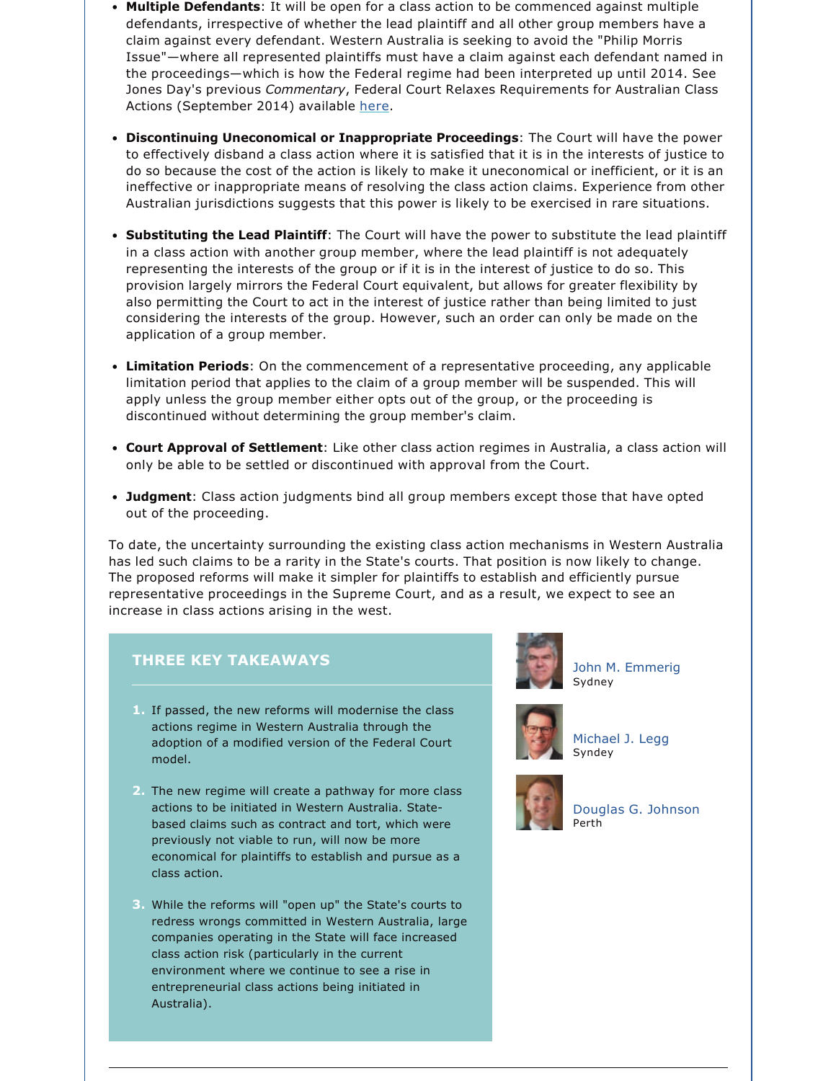- **Multiple Defendants**: It will be open for a class action to be commenced against multiple defendants, irrespective of whether the lead plaintiff and all other group members have a claim against every defendant. Western Australia is seeking to avoid the "Philip Morris Issue"—where all represented plaintiffs must have a claim against each defendant named in the proceedings—which is how the Federal regime had been interpreted up until 2014. See Jones Day's previous *Commentary*, Federal Court Relaxes Requirements for Australian Class Actions (September 2014) available [here](https://www.jonesday.com/federal-court-relaxes-requirements-for-australian-class-actions-09-16-2014/).
- **Discontinuing Uneconomical or Inappropriate Proceedings**: The Court will have the power to effectively disband a class action where it is satisfied that it is in the interests of justice to do so because the cost of the action is likely to make it uneconomical or inefficient, or it is an ineffective or inappropriate means of resolving the class action claims. Experience from other Australian jurisdictions suggests that this power is likely to be exercised in rare situations.
- **Substituting the Lead Plaintiff**: The Court will have the power to substitute the lead plaintiff in a class action with another group member, where the lead plaintiff is not adequately representing the interests of the group or if it is in the interest of justice to do so. This provision largely mirrors the Federal Court equivalent, but allows for greater flexibility by also permitting the Court to act in the interest of justice rather than being limited to just considering the interests of the group. However, such an order can only be made on the application of a group member.
- **Limitation Periods**: On the commencement of a representative proceeding, any applicable limitation period that applies to the claim of a group member will be suspended. This will apply unless the group member either opts out of the group, or the proceeding is discontinued without determining the group member's claim.
- **Court Approval of Settlement**: Like other class action regimes in Australia, a class action will only be able to be settled or discontinued with approval from the Court.
- **Judgment**: Class action judgments bind all group members except those that have opted out of the proceeding.

To date, the uncertainty surrounding the existing class action mechanisms in Western Australia has led such claims to be a rarity in the State's courts. That position is now likely to change. The proposed reforms will make it simpler for plaintiffs to establish and efficiently pursue representative proceedings in the Supreme Court, and as a result, we expect to see an increase in class actions arising in the west.

## **THREE KEY TAKEAWAYS**

- **1.** If passed, the new reforms will modernise the class actions regime in Western Australia through the adoption of a modified version of the Federal Court model.
- **2.** The new regime will create a pathway for more class actions to be initiated in Western Australia. Statebased claims such as contract and tort, which were previously not viable to run, will now be more economical for plaintiffs to establish and pursue as a class action.
- **3.** While the reforms will "open up" the State's courts to redress wrongs committed in Western Australia, large companies operating in the State will face increased class action risk (particularly in the current environment where we continue to see a rise in entrepreneurial class actions being initiated in Australia).



[John M. Emmerig](https://www.jonesday.com/jemmerig/) Sydney



[Michael J. Legg](https://www.jonesday.com/mlegg) Syndey



[Douglas G. Johnson](https://www.jonesday.com/douglasjohnson) Perth